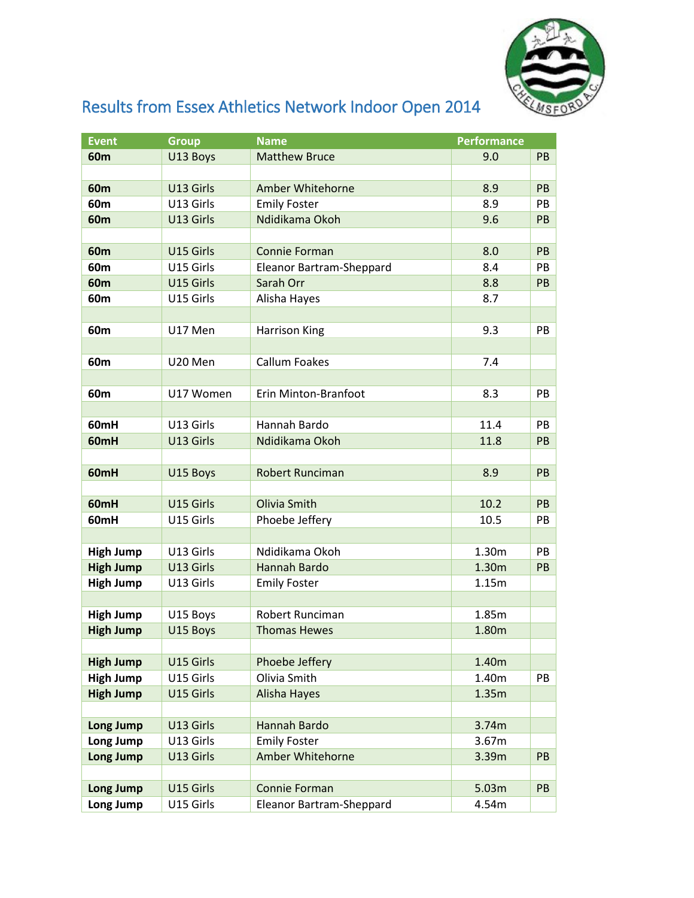

## Results from Essex Athletics Network Indoor Open 2014

| <b>Event</b>     | <b>Group</b> | <b>Name</b>              | <b>Performance</b> |           |
|------------------|--------------|--------------------------|--------------------|-----------|
| 60m              | U13 Boys     | <b>Matthew Bruce</b>     | 9.0                | PB        |
|                  |              |                          |                    |           |
| 60m              | U13 Girls    | Amber Whitehorne         | 8.9                | PB        |
| 60m              | U13 Girls    | <b>Emily Foster</b>      | 8.9                | <b>PB</b> |
| 60 <sub>m</sub>  | U13 Girls    | Ndidikama Okoh           | 9.6                | PB        |
|                  |              |                          |                    |           |
| <b>60m</b>       | U15 Girls    | <b>Connie Forman</b>     | 8.0                | PB        |
| 60 <sub>m</sub>  | U15 Girls    | Eleanor Bartram-Sheppard | 8.4                | PB        |
| <b>60m</b>       | U15 Girls    | Sarah Orr                | 8.8                | PB        |
| 60m              | U15 Girls    | Alisha Hayes             | 8.7                |           |
|                  |              |                          |                    |           |
| 60m              | U17 Men      | <b>Harrison King</b>     | 9.3                | PB        |
|                  |              |                          |                    |           |
| 60m              | U20 Men      | <b>Callum Foakes</b>     | 7.4                |           |
|                  |              |                          |                    |           |
| 60m              | U17 Women    | Erin Minton-Branfoot     | 8.3                | <b>PB</b> |
|                  |              |                          |                    |           |
| 60mH             | U13 Girls    | Hannah Bardo             | 11.4               | PB        |
| 60 <sub>mH</sub> | U13 Girls    | Ndidikama Okoh           | 11.8               | PB        |
|                  |              |                          |                    |           |
| 60mH             | U15 Boys     | <b>Robert Runciman</b>   | 8.9                | PB        |
|                  |              |                          |                    |           |
| 60mH             | U15 Girls    | Olivia Smith             | 10.2               | <b>PB</b> |
| 60mH             | U15 Girls    | Phoebe Jeffery           | 10.5               | PB        |
|                  |              |                          |                    |           |
| <b>High Jump</b> | U13 Girls    | Ndidikama Okoh           | 1.30m              | PB        |
| <b>High Jump</b> | U13 Girls    | Hannah Bardo             | 1.30m              | PB        |
| <b>High Jump</b> | U13 Girls    | <b>Emily Foster</b>      | 1.15m              |           |
|                  |              |                          |                    |           |
| <b>High Jump</b> | U15 Boys     | Robert Runciman          | 1.85m              |           |
| <b>High Jump</b> | U15 Boys     | <b>Thomas Hewes</b>      | 1.80m              |           |
|                  |              |                          |                    |           |
| <b>High Jump</b> | U15 Girls    | Phoebe Jeffery           | 1.40m              |           |
| <b>High Jump</b> | U15 Girls    | Olivia Smith             | 1.40m              | PB        |
| <b>High Jump</b> | U15 Girls    | Alisha Hayes             | 1.35m              |           |
|                  |              |                          |                    |           |
| <b>Long Jump</b> | U13 Girls    | <b>Hannah Bardo</b>      | 3.74m              |           |
| Long Jump        | U13 Girls    | <b>Emily Foster</b>      | 3.67m              |           |
| <b>Long Jump</b> | U13 Girls    | Amber Whitehorne         | 3.39m              | PB        |
|                  |              |                          |                    |           |
| <b>Long Jump</b> | U15 Girls    | <b>Connie Forman</b>     | 5.03m              | PB        |
| Long Jump        | U15 Girls    | Eleanor Bartram-Sheppard | 4.54m              |           |